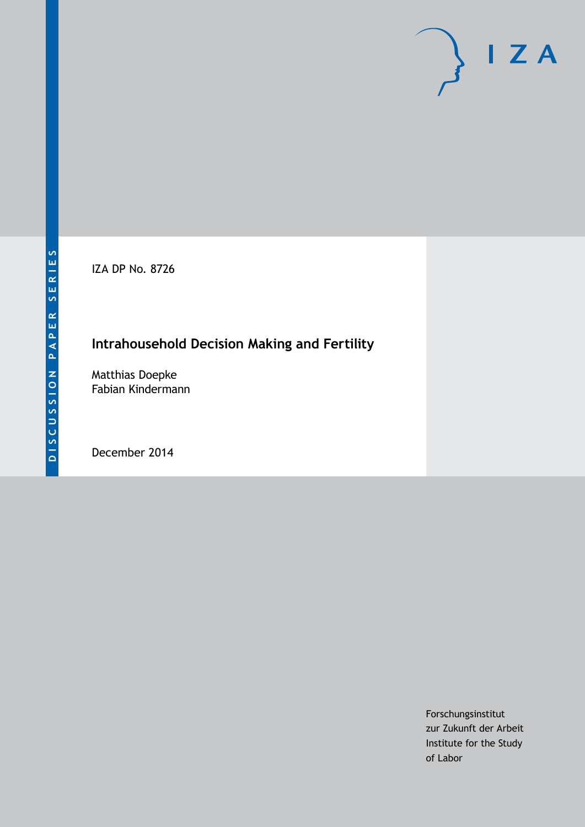IZA DP No. 8726

# **Intrahousehold Decision Making and Fertility**

Matthias Doepke Fabian Kindermann

December 2014

Forschungsinstitut zur Zukunft der Arbeit Institute for the Study of Labor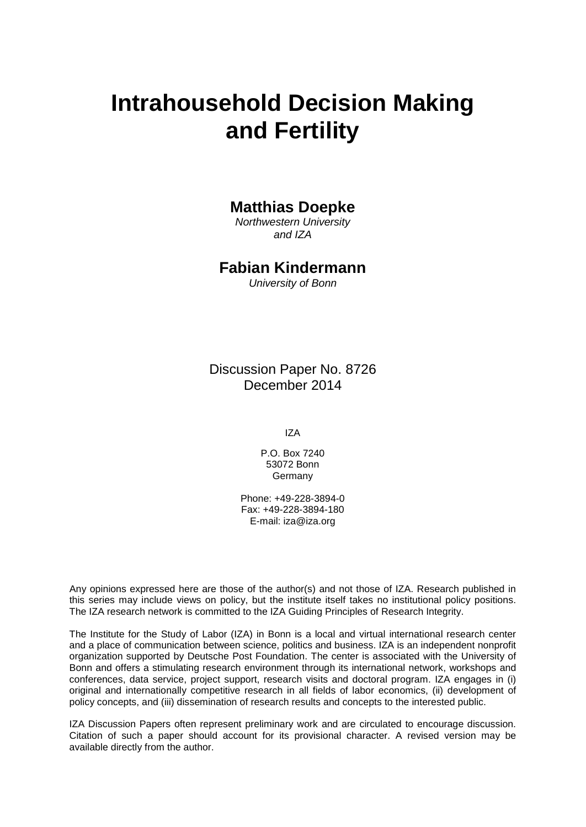# **Intrahousehold Decision Making and Fertility**

### **Matthias Doepke**

*Northwestern University and IZA*

### **Fabian Kindermann**

*University of Bonn*

Discussion Paper No. 8726 December 2014

IZA

P.O. Box 7240 53072 Bonn Germany

Phone: +49-228-3894-0 Fax: +49-228-3894-180 E-mail: [iza@iza.org](mailto:iza@iza.org)

Any opinions expressed here are those of the author(s) and not those of IZA. Research published in this series may include views on policy, but the institute itself takes no institutional policy positions. The IZA research network is committed to the IZA Guiding Principles of Research Integrity.

The Institute for the Study of Labor (IZA) in Bonn is a local and virtual international research center and a place of communication between science, politics and business. IZA is an independent nonprofit organization supported by Deutsche Post Foundation. The center is associated with the University of Bonn and offers a stimulating research environment through its international network, workshops and conferences, data service, project support, research visits and doctoral program. IZA engages in (i) original and internationally competitive research in all fields of labor economics, (ii) development of policy concepts, and (iii) dissemination of research results and concepts to the interested public.

<span id="page-1-0"></span>IZA Discussion Papers often represent preliminary work and are circulated to encourage discussion. Citation of such a paper should account for its provisional character. A revised version may be available directly from the author.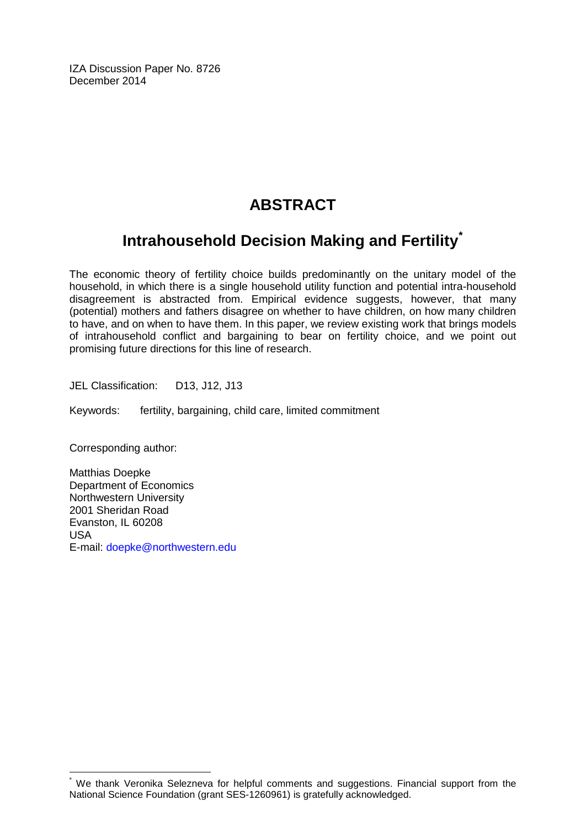IZA Discussion Paper No. 8726 December 2014

# **ABSTRACT**

# **Intrahousehold Decision Making and Fertility[\\*](#page-1-0)**

The economic theory of fertility choice builds predominantly on the unitary model of the household, in which there is a single household utility function and potential intra-household disagreement is abstracted from. Empirical evidence suggests, however, that many (potential) mothers and fathers disagree on whether to have children, on how many children to have, and on when to have them. In this paper, we review existing work that brings models of intrahousehold conflict and bargaining to bear on fertility choice, and we point out promising future directions for this line of research.

JEL Classification: D13, J12, J13

Keywords: fertility, bargaining, child care, limited commitment

Corresponding author:

Matthias Doepke Department of Economics Northwestern University 2001 Sheridan Road Evanston, IL 60208 USA E-mail: [doepke@northwestern.edu](mailto:doepke@northwestern.edu)

We thank Veronika Selezneva for helpful comments and suggestions. Financial support from the National Science Foundation (grant SES-1260961) is gratefully acknowledged.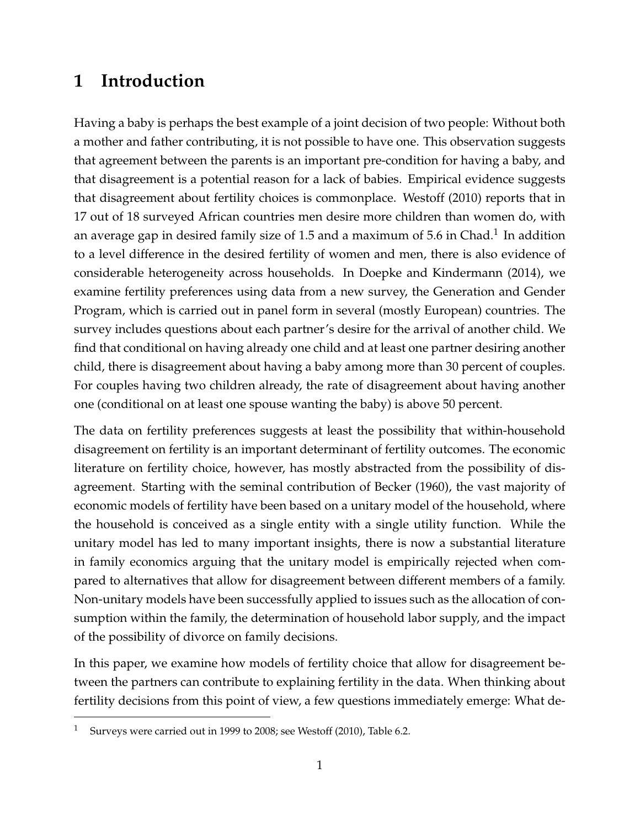## **1 Introduction**

Having a baby is perhaps the best example of a joint decision of two people: Without both a mother and father contributing, it is not possible to have one. This observation suggests that agreement between the parents is an important pre-condition for having a baby, and that disagreement is a potential reason for a lack of babies. Empirical evidence suggests that disagreement about fertility choices is commonplace. Westoff (2010) reports that in 17 out of 18 surveyed African countries men desire more children than women do, with an average gap in desired family size of 1.5 and a maximum of 5.6 in Chad.<sup>1</sup> In addition to a level difference in the desired fertility of women and men, there is also evidence of considerable heterogeneity across households. In Doepke and Kindermann (2014), we examine fertility preferences using data from a new survey, the Generation and Gender Program, which is carried out in panel form in several (mostly European) countries. The survey includes questions about each partner's desire for the arrival of another child. We find that conditional on having already one child and at least one partner desiring another child, there is disagreement about having a baby among more than 30 percent of couples. For couples having two children already, the rate of disagreement about having another one (conditional on at least one spouse wanting the baby) is above 50 percent.

The data on fertility preferences suggests at least the possibility that within-household disagreement on fertility is an important determinant of fertility outcomes. The economic literature on fertility choice, however, has mostly abstracted from the possibility of disagreement. Starting with the seminal contribution of Becker (1960), the vast majority of economic models of fertility have been based on a unitary model of the household, where the household is conceived as a single entity with a single utility function. While the unitary model has led to many important insights, there is now a substantial literature in family economics arguing that the unitary model is empirically rejected when compared to alternatives that allow for disagreement between different members of a family. Non-unitary models have been successfully applied to issues such as the allocation of consumption within the family, the determination of household labor supply, and the impact of the possibility of divorce on family decisions.

In this paper, we examine how models of fertility choice that allow for disagreement between the partners can contribute to explaining fertility in the data. When thinking about fertility decisions from this point of view, a few questions immediately emerge: What de-

Surveys were carried out in 1999 to 2008; see Westoff (2010), Table 6.2.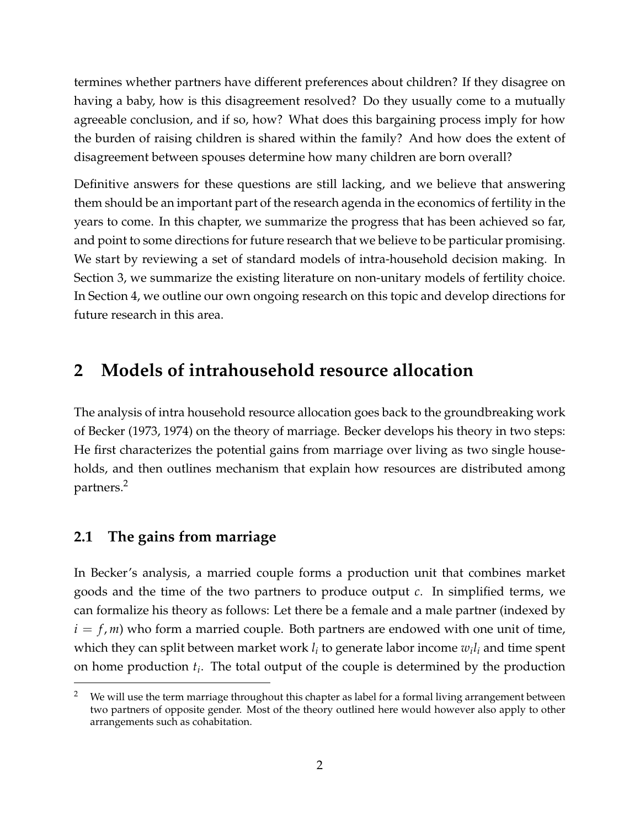termines whether partners have different preferences about children? If they disagree on having a baby, how is this disagreement resolved? Do they usually come to a mutually agreeable conclusion, and if so, how? What does this bargaining process imply for how the burden of raising children is shared within the family? And how does the extent of disagreement between spouses determine how many children are born overall?

Definitive answers for these questions are still lacking, and we believe that answering them should be an important part of the research agenda in the economics of fertility in the years to come. In this chapter, we summarize the progress that has been achieved so far, and point to some directions for future research that we believe to be particular promising. We start by reviewing a set of standard models of intra-household decision making. In Section 3, we summarize the existing literature on non-unitary models of fertility choice. In Section 4, we outline our own ongoing research on this topic and develop directions for future research in this area.

### **2 Models of intrahousehold resource allocation**

The analysis of intra household resource allocation goes back to the groundbreaking work of Becker (1973, 1974) on the theory of marriage. Becker develops his theory in two steps: He first characterizes the potential gains from marriage over living as two single households, and then outlines mechanism that explain how resources are distributed among partners.<sup>2</sup>

### **2.1 The gains from marriage**

In Becker's analysis, a married couple forms a production unit that combines market goods and the time of the two partners to produce output *c*. In simplified terms, we can formalize his theory as follows: Let there be a female and a male partner (indexed by  $i = f, m$ ) who form a married couple. Both partners are endowed with one unit of time, which they can split between market work  $l_i$  to generate labor income  $w_il_i$  and time spent on home production *t<sup>i</sup>* . The total output of the couple is determined by the production

We will use the term marriage throughout this chapter as label for a formal living arrangement between two partners of opposite gender. Most of the theory outlined here would however also apply to other arrangements such as cohabitation.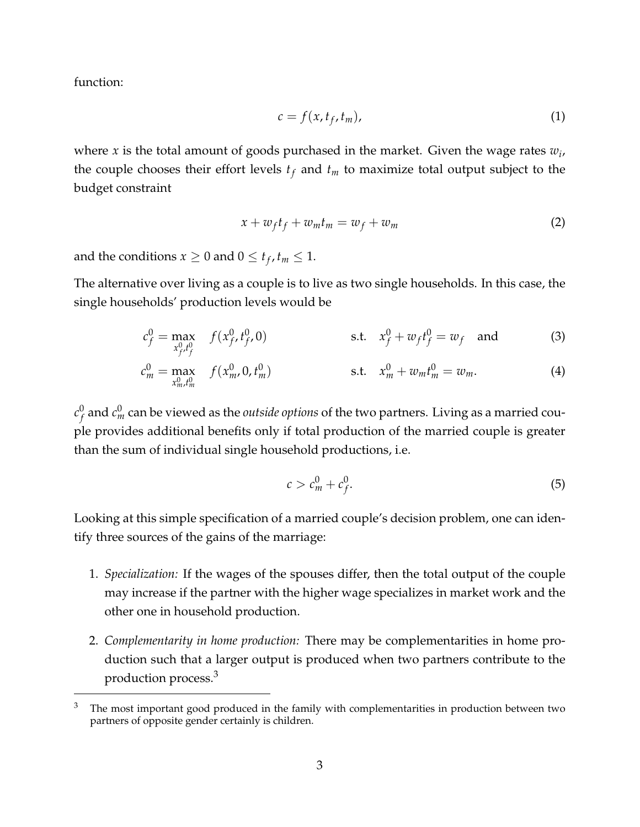function:

$$
c = f(x, t_f, t_m), \tag{1}
$$

where *x* is the total amount of goods purchased in the market. Given the wage rates *w<sup>i</sup>* , the couple chooses their effort levels *t<sup>f</sup>* and *t<sup>m</sup>* to maximize total output subject to the budget constraint

$$
x + w_f t_f + w_m t_m = w_f + w_m \tag{2}
$$

and the conditions  $x \geq 0$  and  $0 \leq t_f$ ,  $t_m \leq 1$ .

The alternative over living as a couple is to live as two single households. In this case, the single households' production levels would be

$$
c_f^0 = \max_{x_{f'}^0 t_f^0} f(x_{f'}^0, t_{f'}^0, 0) \qquad \text{s.t.} \quad x_f^0 + w_f t_f^0 = w_f \quad \text{and} \tag{3}
$$

$$
c_m^0 = \max_{x_m^0, t_m^0} f(x_m^0, 0, t_m^0) \qquad \qquad \text{s.t.} \quad x_m^0 + w_m t_m^0 = w_m. \tag{4}
$$

 $c_{f}^{0}$  $\sigma_f^0$  and  $c_m^0$  can be viewed as the *outside options* of the two partners. Living as a married couple provides additional benefits only if total production of the married couple is greater than the sum of individual single household productions, i.e.

$$
c > c_m^0 + c_f^0. \tag{5}
$$

Looking at this simple specification of a married couple's decision problem, one can identify three sources of the gains of the marriage:

- 1. *Specialization:* If the wages of the spouses differ, then the total output of the couple may increase if the partner with the higher wage specializes in market work and the other one in household production.
- 2. *Complementarity in home production:* There may be complementarities in home production such that a larger output is produced when two partners contribute to the production process.<sup>3</sup>

 $3$  The most important good produced in the family with complementarities in production between two partners of opposite gender certainly is children.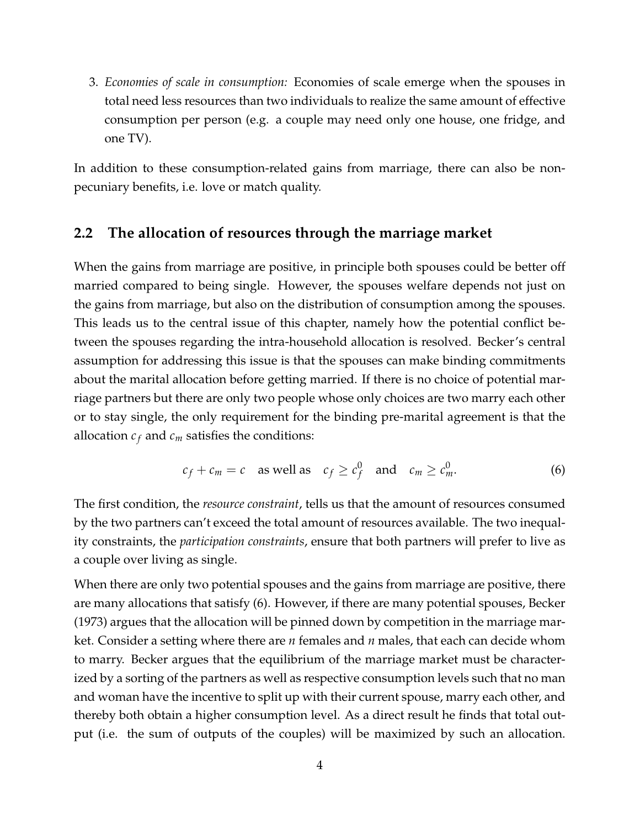3. *Economies of scale in consumption:* Economies of scale emerge when the spouses in total need less resources than two individuals to realize the same amount of effective consumption per person (e.g. a couple may need only one house, one fridge, and one TV).

In addition to these consumption-related gains from marriage, there can also be nonpecuniary benefits, i.e. love or match quality.

#### **2.2 The allocation of resources through the marriage market**

When the gains from marriage are positive, in principle both spouses could be better off married compared to being single. However, the spouses welfare depends not just on the gains from marriage, but also on the distribution of consumption among the spouses. This leads us to the central issue of this chapter, namely how the potential conflict between the spouses regarding the intra-household allocation is resolved. Becker's central assumption for addressing this issue is that the spouses can make binding commitments about the marital allocation before getting married. If there is no choice of potential marriage partners but there are only two people whose only choices are two marry each other or to stay single, the only requirement for the binding pre-marital agreement is that the allocation  $c_f$  and  $c_m$  satisfies the conditions:

$$
c_f + c_m = c
$$
 as well as  $c_f \ge c_f^0$  and  $c_m \ge c_m^0$ . (6)

The first condition, the *resource constraint*, tells us that the amount of resources consumed by the two partners can't exceed the total amount of resources available. The two inequality constraints, the *participation constraints*, ensure that both partners will prefer to live as a couple over living as single.

When there are only two potential spouses and the gains from marriage are positive, there are many allocations that satisfy (6). However, if there are many potential spouses, Becker (1973) argues that the allocation will be pinned down by competition in the marriage market. Consider a setting where there are *n* females and *n* males, that each can decide whom to marry. Becker argues that the equilibrium of the marriage market must be characterized by a sorting of the partners as well as respective consumption levels such that no man and woman have the incentive to split up with their current spouse, marry each other, and thereby both obtain a higher consumption level. As a direct result he finds that total output (i.e. the sum of outputs of the couples) will be maximized by such an allocation.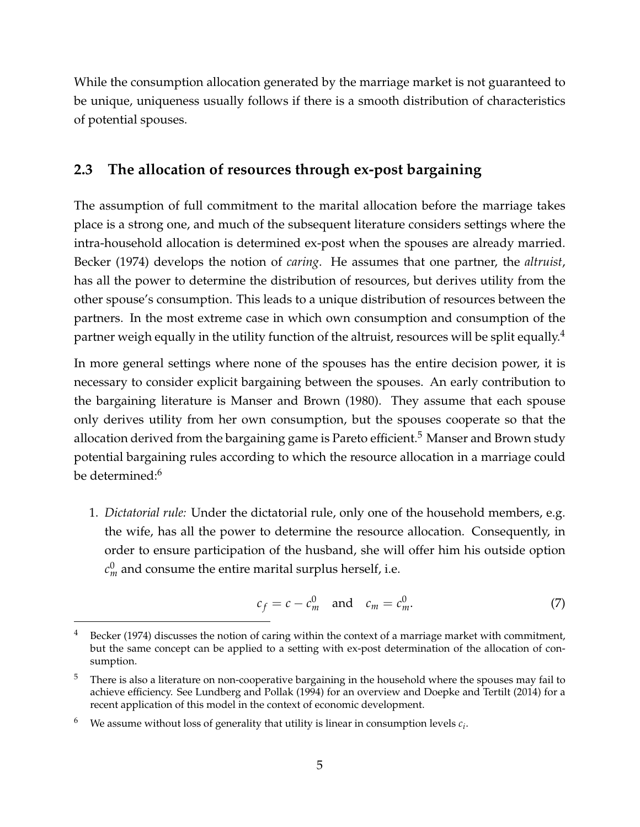While the consumption allocation generated by the marriage market is not guaranteed to be unique, uniqueness usually follows if there is a smooth distribution of characteristics of potential spouses.

### **2.3 The allocation of resources through ex-post bargaining**

The assumption of full commitment to the marital allocation before the marriage takes place is a strong one, and much of the subsequent literature considers settings where the intra-household allocation is determined ex-post when the spouses are already married. Becker (1974) develops the notion of *caring*. He assumes that one partner, the *altruist*, has all the power to determine the distribution of resources, but derives utility from the other spouse's consumption. This leads to a unique distribution of resources between the partners. In the most extreme case in which own consumption and consumption of the partner weigh equally in the utility function of the altruist, resources will be split equally.<sup>4</sup>

In more general settings where none of the spouses has the entire decision power, it is necessary to consider explicit bargaining between the spouses. An early contribution to the bargaining literature is Manser and Brown (1980). They assume that each spouse only derives utility from her own consumption, but the spouses cooperate so that the allocation derived from the bargaining game is Pareto efficient.<sup>5</sup> Manser and Brown study potential bargaining rules according to which the resource allocation in a marriage could be determined:<sup>6</sup>

1. *Dictatorial rule:* Under the dictatorial rule, only one of the household members, e.g. the wife, has all the power to determine the resource allocation. Consequently, in order to ensure participation of the husband, she will offer him his outside option  $c_m^0$  and consume the entire marital surplus herself, i.e.

$$
c_f = c - c_m^0 \quad \text{and} \quad c_m = c_m^0. \tag{7}
$$

Becker (1974) discusses the notion of caring within the context of a marriage market with commitment, but the same concept can be applied to a setting with ex-post determination of the allocation of consumption.

There is also a literature on non-cooperative bargaining in the household where the spouses may fail to achieve efficiency. See Lundberg and Pollak (1994) for an overview and Doepke and Tertilt (2014) for a recent application of this model in the context of economic development.

 $^6$  We assume without loss of generality that utility is linear in consumption levels  $c_i$ .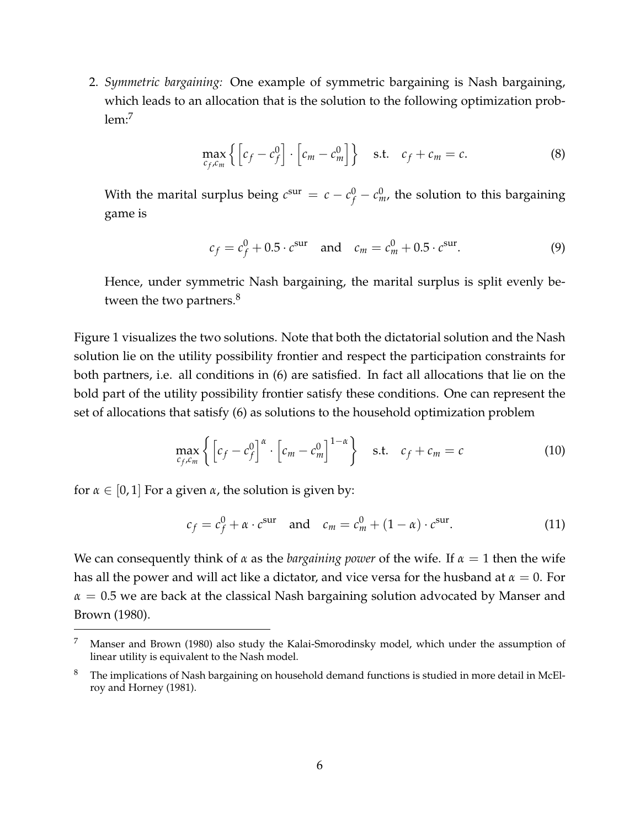2. *Symmetric bargaining:* One example of symmetric bargaining is Nash bargaining, which leads to an allocation that is the solution to the following optimization prob $lem<sup>7</sup>$ 

$$
\max_{c_f, c_m} \left\{ \left[ c_f - c_f^0 \right] \cdot \left[ c_m - c_m^0 \right] \right\} \quad \text{s.t.} \quad c_f + c_m = c. \tag{8}
$$

With the marital surplus being  $c^{\text{sur}} = c - c_f^0 - c_m^0$ , the solution to this bargaining game is

$$
c_f = c_f^0 + 0.5 \cdot c^{sur}
$$
 and  $c_m = c_m^0 + 0.5 \cdot c^{sur}$ . (9)

Hence, under symmetric Nash bargaining, the marital surplus is split evenly between the two partners.<sup>8</sup>

Figure 1 visualizes the two solutions. Note that both the dictatorial solution and the Nash solution lie on the utility possibility frontier and respect the participation constraints for both partners, i.e. all conditions in (6) are satisfied. In fact all allocations that lie on the bold part of the utility possibility frontier satisfy these conditions. One can represent the set of allocations that satisfy (6) as solutions to the household optimization problem

$$
\max_{c_f, c_m} \left\{ \left[ c_f - c_f^0 \right]^\alpha \cdot \left[ c_m - c_m^0 \right]^{1-\alpha} \right\} \quad \text{s.t.} \quad c_f + c_m = c \tag{10}
$$

for  $\alpha \in [0, 1]$  For a given  $\alpha$ , the solution is given by:

$$
c_f = c_f^0 + \alpha \cdot c^{\text{sur}} \quad \text{and} \quad c_m = c_m^0 + (1 - \alpha) \cdot c^{\text{sur}}. \tag{11}
$$

We can consequently think of  $\alpha$  as the *bargaining power* of the wife. If  $\alpha = 1$  then the wife has all the power and will act like a dictator, and vice versa for the husband at *α* = 0. For *α* = 0.5 we are back at the classical Nash bargaining solution advocated by Manser and Brown (1980).

<sup>7</sup> Manser and Brown (1980) also study the Kalai-Smorodinsky model, which under the assumption of linear utility is equivalent to the Nash model.

<sup>&</sup>lt;sup>8</sup> The implications of Nash bargaining on household demand functions is studied in more detail in McElroy and Horney (1981).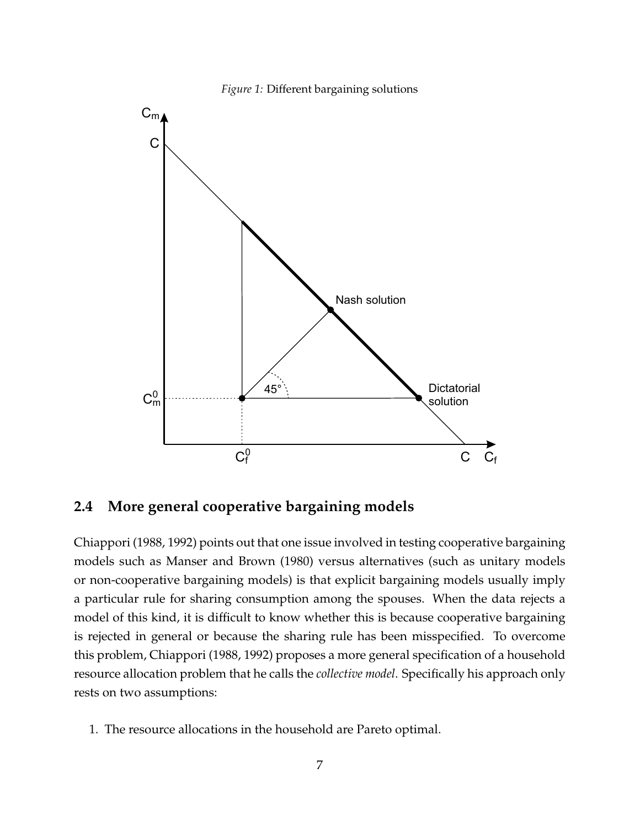

*Figure 1:* Different bargaining solutions

#### **2.4 More general cooperative bargaining models**

Chiappori (1988, 1992) points out that one issue involved in testing cooperative bargaining models such as Manser and Brown (1980) versus alternatives (such as unitary models or non-cooperative bargaining models) is that explicit bargaining models usually imply a particular rule for sharing consumption among the spouses. When the data rejects a model of this kind, it is difficult to know whether this is because cooperative bargaining is rejected in general or because the sharing rule has been misspecified. To overcome this problem, Chiappori (1988, 1992) proposes a more general specification of a household resource allocation problem that he calls the *collective model*. Specifically his approach only rests on two assumptions:

1. The resource allocations in the household are Pareto optimal.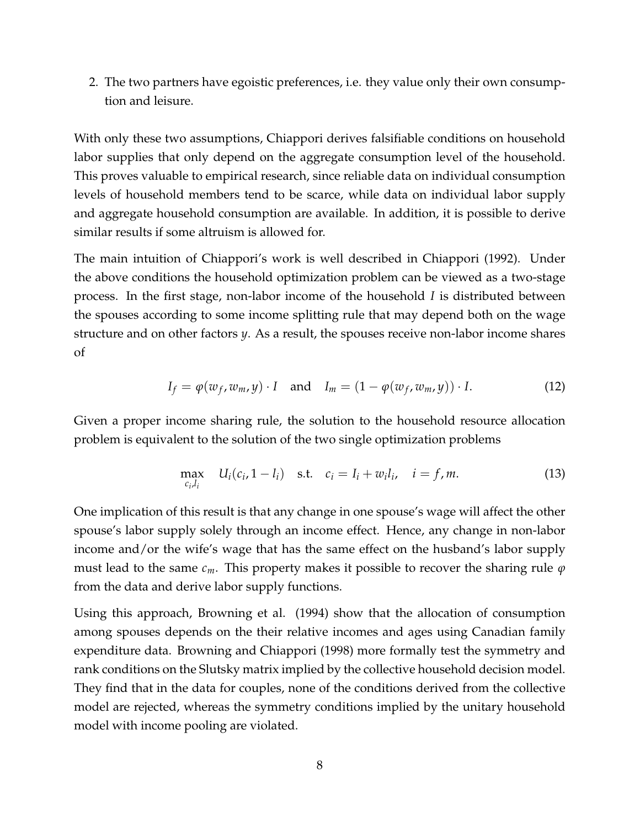2. The two partners have egoistic preferences, i.e. they value only their own consumption and leisure.

With only these two assumptions, Chiappori derives falsifiable conditions on household labor supplies that only depend on the aggregate consumption level of the household. This proves valuable to empirical research, since reliable data on individual consumption levels of household members tend to be scarce, while data on individual labor supply and aggregate household consumption are available. In addition, it is possible to derive similar results if some altruism is allowed for.

The main intuition of Chiappori's work is well described in Chiappori (1992). Under the above conditions the household optimization problem can be viewed as a two-stage process. In the first stage, non-labor income of the household *I* is distributed between the spouses according to some income splitting rule that may depend both on the wage structure and on other factors *y*. As a result, the spouses receive non-labor income shares of

$$
I_f = \varphi(w_f, w_m, y) \cdot I \quad \text{and} \quad I_m = (1 - \varphi(w_f, w_m, y)) \cdot I. \tag{12}
$$

Given a proper income sharing rule, the solution to the household resource allocation problem is equivalent to the solution of the two single optimization problems

$$
\max_{c_i, l_i} U_i(c_i, 1 - l_i) \quad \text{s.t.} \quad c_i = I_i + w_i l_i, \quad i = f, m. \tag{13}
$$

One implication of this result is that any change in one spouse's wage will affect the other spouse's labor supply solely through an income effect. Hence, any change in non-labor income and/or the wife's wage that has the same effect on the husband's labor supply must lead to the same *cm*. This property makes it possible to recover the sharing rule *φ* from the data and derive labor supply functions.

Using this approach, Browning et al. (1994) show that the allocation of consumption among spouses depends on the their relative incomes and ages using Canadian family expenditure data. Browning and Chiappori (1998) more formally test the symmetry and rank conditions on the Slutsky matrix implied by the collective household decision model. They find that in the data for couples, none of the conditions derived from the collective model are rejected, whereas the symmetry conditions implied by the unitary household model with income pooling are violated.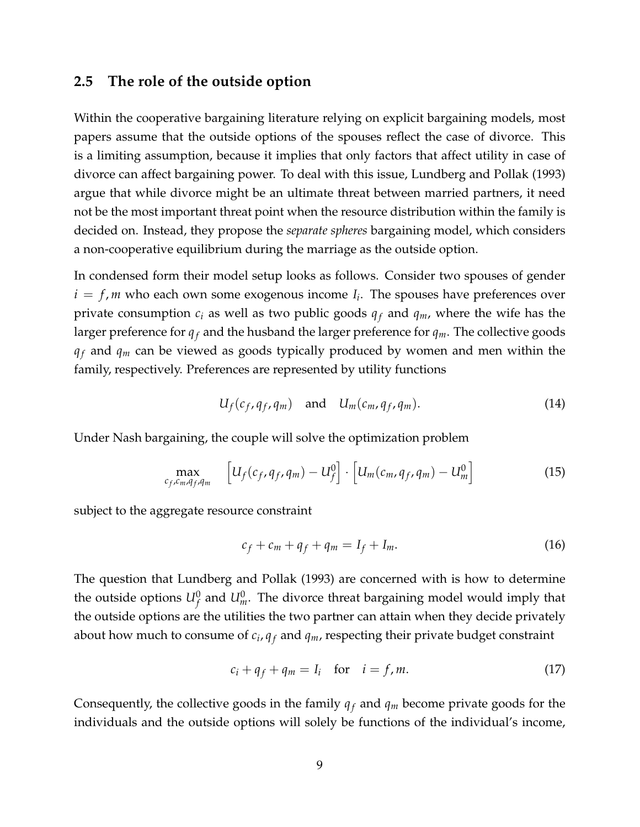#### **2.5 The role of the outside option**

Within the cooperative bargaining literature relying on explicit bargaining models, most papers assume that the outside options of the spouses reflect the case of divorce. This is a limiting assumption, because it implies that only factors that affect utility in case of divorce can affect bargaining power. To deal with this issue, Lundberg and Pollak (1993) argue that while divorce might be an ultimate threat between married partners, it need not be the most important threat point when the resource distribution within the family is decided on. Instead, they propose the *separate spheres* bargaining model, which considers a non-cooperative equilibrium during the marriage as the outside option.

In condensed form their model setup looks as follows. Consider two spouses of gender  $i = f$ , *m* who each own some exogenous income  $I_i$ . The spouses have preferences over private consumption  $c_i$  as well as two public goods  $q_f$  and  $q_m$ , where the wife has the larger preference for  $q_f$  and the husband the larger preference for  $q_m$ . The collective goods  $q_f$  and  $q_m$  can be viewed as goods typically produced by women and men within the family, respectively. Preferences are represented by utility functions

$$
U_f(c_f, q_f, q_m) \quad \text{and} \quad U_m(c_m, q_f, q_m). \tag{14}
$$

Under Nash bargaining, the couple will solve the optimization problem

$$
\max_{c_f, c_m, q_f, q_m} \quad \left[ U_f(c_f, q_f, q_m) - U_f^0 \right] \cdot \left[ U_m(c_m, q_f, q_m) - U_m^0 \right] \tag{15}
$$

subject to the aggregate resource constraint

$$
c_f + c_m + q_f + q_m = I_f + I_m. \tag{16}
$$

The question that Lundberg and Pollak (1993) are concerned with is how to determine the outside options  $U_f^0$  and  $U_m^0$ . The divorce threat bargaining model would imply that the outside options are the utilities the two partner can attain when they decide privately about how much to consume of *c<sup>i</sup>* , *q <sup>f</sup>* and *qm*, respecting their private budget constraint

$$
c_i + q_f + q_m = I_i \quad \text{for} \quad i = f, m. \tag{17}
$$

Consequently, the collective goods in the family  $q_f$  and  $q_m$  become private goods for the individuals and the outside options will solely be functions of the individual's income,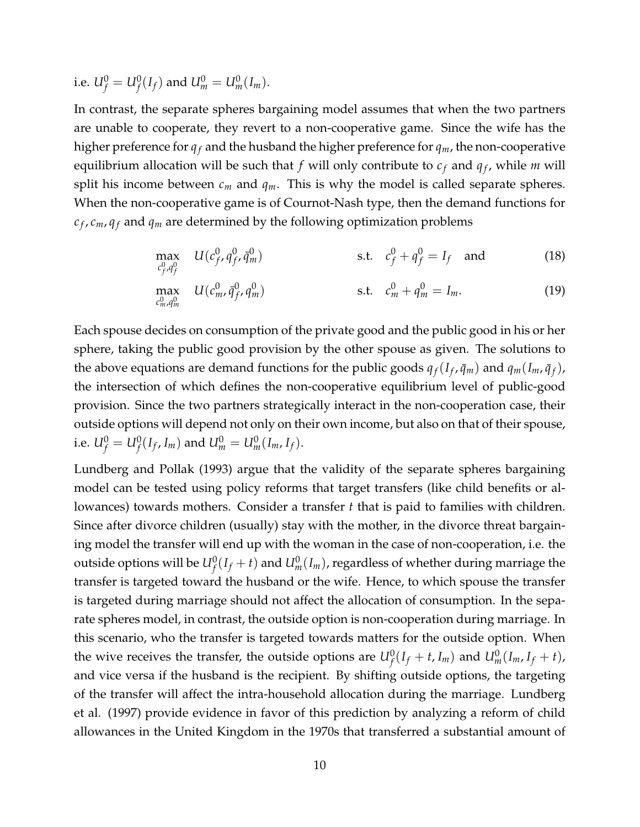i.e.  $U_f^0=U_f^0(I_f)$  and  $U_m^0=U_m^0(I_m)$ .

In contrast, the separate spheres bargaining model assumes that when the two partners are unable to cooperate, they revert to a non-cooperative game. Since the wife has the higher preference for  $q_f$  and the husband the higher preference for  $q_m$ , the non-cooperative equilibrium allocation will be such that  $f$  will only contribute to  $c_f$  and  $q_f$ , while  $m$  will split his income between  $c_m$  and  $q_m$ . This is why the model is called separate spheres. When the non-cooperative game is of Cournot-Nash type, then the demand functions for *c f* , *cm*, *q <sup>f</sup>* and *q<sup>m</sup>* are determined by the following optimization problems

$$
\max_{c_f^0, q_f^0} U(c_f^0, q_f^0, \bar{q}_m^0) \qquad \text{s.t.} \quad c_f^0 + q_f^0 = I_f \quad \text{and} \tag{18}
$$

$$
\max_{c_m^0, q_m^0} U(c_m^0, \bar{q}_f^0, q_m^0) \qquad \qquad \text{s.t.} \quad c_m^0 + q_m^0 = I_m. \tag{19}
$$

Each spouse decides on consumption of the private good and the public good in his or her sphere, taking the public good provision by the other spouse as given. The solutions to the above equations are demand functions for the public goods  $q_f(I_f, \bar{q}_m)$  and  $q_m(I_m, \bar{q}_f)$ , the intersection of which defines the non-cooperative equilibrium level of public-good provision. Since the two partners strategically interact in the non-cooperation case, their outside options will depend not only on their own income, but also on that of their spouse, i.e.  $U_f^0 = U_f^0(I_f, I_m)$  and  $U_m^0 = U_m^0(I_m, I_f)$ .

Lundberg and Pollak (1993) argue that the validity of the separate spheres bargaining model can be tested using policy reforms that target transfers (like child benefits or allowances) towards mothers. Consider a transfer *t* that is paid to families with children. Since after divorce children (usually) stay with the mother, in the divorce threat bargaining model the transfer will end up with the woman in the case of non-cooperation, i.e. the outside options will be  $U_f^0(I_f+t)$  and  $U_m^0(I_m)$ , regardless of whether during marriage the transfer is targeted toward the husband or the wife. Hence, to which spouse the transfer is targeted during marriage should not affect the allocation of consumption. In the separate spheres model, in contrast, the outside option is non-cooperation during marriage. In this scenario, who the transfer is targeted towards matters for the outside option. When the wive receives the transfer, the outside options are  $U_f^0(I_f + t, I_m)$  and  $U_m^0(I_m, I_f + t)$ , and vice versa if the husband is the recipient. By shifting outside options, the targeting of the transfer will affect the intra-household allocation during the marriage. Lundberg et al. (1997) provide evidence in favor of this prediction by analyzing a reform of child allowances in the United Kingdom in the 1970s that transferred a substantial amount of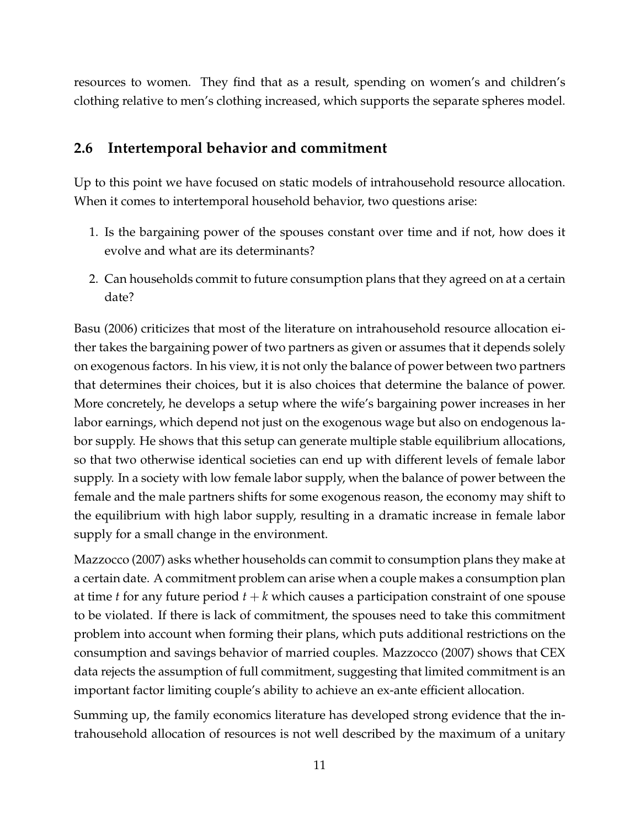resources to women. They find that as a result, spending on women's and children's clothing relative to men's clothing increased, which supports the separate spheres model.

### **2.6 Intertemporal behavior and commitment**

Up to this point we have focused on static models of intrahousehold resource allocation. When it comes to intertemporal household behavior, two questions arise:

- 1. Is the bargaining power of the spouses constant over time and if not, how does it evolve and what are its determinants?
- 2. Can households commit to future consumption plans that they agreed on at a certain date?

Basu (2006) criticizes that most of the literature on intrahousehold resource allocation either takes the bargaining power of two partners as given or assumes that it depends solely on exogenous factors. In his view, it is not only the balance of power between two partners that determines their choices, but it is also choices that determine the balance of power. More concretely, he develops a setup where the wife's bargaining power increases in her labor earnings, which depend not just on the exogenous wage but also on endogenous labor supply. He shows that this setup can generate multiple stable equilibrium allocations, so that two otherwise identical societies can end up with different levels of female labor supply. In a society with low female labor supply, when the balance of power between the female and the male partners shifts for some exogenous reason, the economy may shift to the equilibrium with high labor supply, resulting in a dramatic increase in female labor supply for a small change in the environment.

Mazzocco (2007) asks whether households can commit to consumption plans they make at a certain date. A commitment problem can arise when a couple makes a consumption plan at time *t* for any future period  $t + k$  which causes a participation constraint of one spouse to be violated. If there is lack of commitment, the spouses need to take this commitment problem into account when forming their plans, which puts additional restrictions on the consumption and savings behavior of married couples. Mazzocco (2007) shows that CEX data rejects the assumption of full commitment, suggesting that limited commitment is an important factor limiting couple's ability to achieve an ex-ante efficient allocation.

Summing up, the family economics literature has developed strong evidence that the intrahousehold allocation of resources is not well described by the maximum of a unitary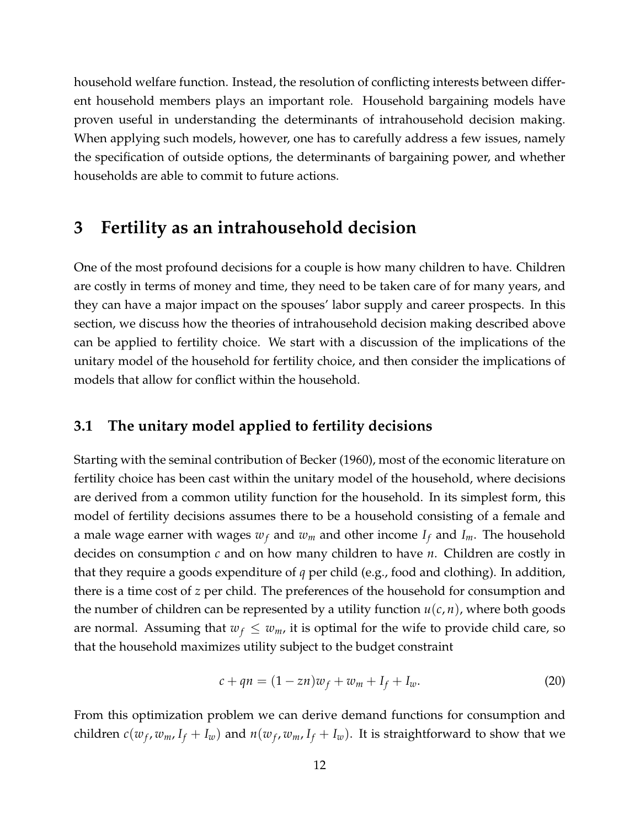household welfare function. Instead, the resolution of conflicting interests between different household members plays an important role. Household bargaining models have proven useful in understanding the determinants of intrahousehold decision making. When applying such models, however, one has to carefully address a few issues, namely the specification of outside options, the determinants of bargaining power, and whether households are able to commit to future actions.

### **3 Fertility as an intrahousehold decision**

One of the most profound decisions for a couple is how many children to have. Children are costly in terms of money and time, they need to be taken care of for many years, and they can have a major impact on the spouses' labor supply and career prospects. In this section, we discuss how the theories of intrahousehold decision making described above can be applied to fertility choice. We start with a discussion of the implications of the unitary model of the household for fertility choice, and then consider the implications of models that allow for conflict within the household.

#### **3.1 The unitary model applied to fertility decisions**

Starting with the seminal contribution of Becker (1960), most of the economic literature on fertility choice has been cast within the unitary model of the household, where decisions are derived from a common utility function for the household. In its simplest form, this model of fertility decisions assumes there to be a household consisting of a female and a male wage earner with wages  $w_f$  and  $w_m$  and other income  $I_f$  and  $I_m$ . The household decides on consumption *c* and on how many children to have *n*. Children are costly in that they require a goods expenditure of *q* per child (e.g., food and clothing). In addition, there is a time cost of *z* per child. The preferences of the household for consumption and the number of children can be represented by a utility function *u*(*c*, *n*), where both goods are normal. Assuming that  $w_f \leq w_m$ , it is optimal for the wife to provide child care, so that the household maximizes utility subject to the budget constraint

$$
c + qn = (1 - zn)w_f + w_m + I_f + I_w.
$$
 (20)

From this optimization problem we can derive demand functions for consumption and children  $c(w_f, w_m, I_f + I_w)$  and  $n(w_f, w_m, I_f + I_w)$ . It is straightforward to show that we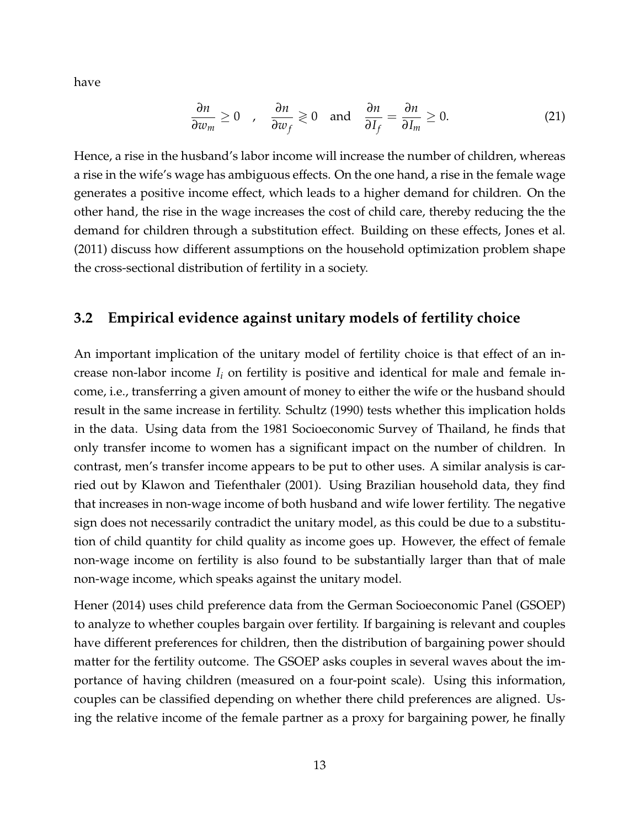have

$$
\frac{\partial n}{\partial w_m} \ge 0 \quad , \quad \frac{\partial n}{\partial w_f} \ge 0 \quad \text{and} \quad \frac{\partial n}{\partial I_f} = \frac{\partial n}{\partial I_m} \ge 0. \tag{21}
$$

Hence, a rise in the husband's labor income will increase the number of children, whereas a rise in the wife's wage has ambiguous effects. On the one hand, a rise in the female wage generates a positive income effect, which leads to a higher demand for children. On the other hand, the rise in the wage increases the cost of child care, thereby reducing the the demand for children through a substitution effect. Building on these effects, Jones et al. (2011) discuss how different assumptions on the household optimization problem shape the cross-sectional distribution of fertility in a society.

#### **3.2 Empirical evidence against unitary models of fertility choice**

An important implication of the unitary model of fertility choice is that effect of an increase non-labor income *I<sup>i</sup>* on fertility is positive and identical for male and female income, i.e., transferring a given amount of money to either the wife or the husband should result in the same increase in fertility. Schultz (1990) tests whether this implication holds in the data. Using data from the 1981 Socioeconomic Survey of Thailand, he finds that only transfer income to women has a significant impact on the number of children. In contrast, men's transfer income appears to be put to other uses. A similar analysis is carried out by Klawon and Tiefenthaler (2001). Using Brazilian household data, they find that increases in non-wage income of both husband and wife lower fertility. The negative sign does not necessarily contradict the unitary model, as this could be due to a substitution of child quantity for child quality as income goes up. However, the effect of female non-wage income on fertility is also found to be substantially larger than that of male non-wage income, which speaks against the unitary model.

Hener (2014) uses child preference data from the German Socioeconomic Panel (GSOEP) to analyze to whether couples bargain over fertility. If bargaining is relevant and couples have different preferences for children, then the distribution of bargaining power should matter for the fertility outcome. The GSOEP asks couples in several waves about the importance of having children (measured on a four-point scale). Using this information, couples can be classified depending on whether there child preferences are aligned. Using the relative income of the female partner as a proxy for bargaining power, he finally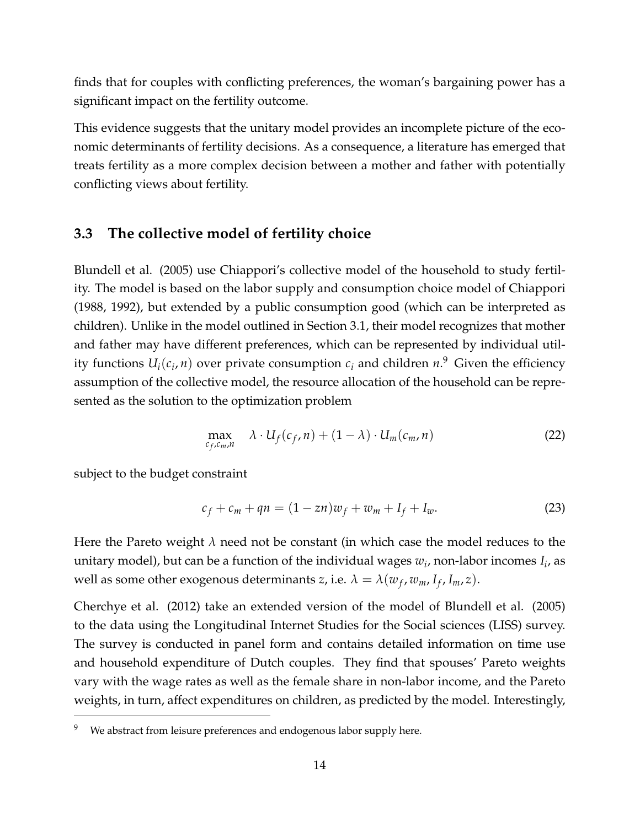finds that for couples with conflicting preferences, the woman's bargaining power has a significant impact on the fertility outcome.

This evidence suggests that the unitary model provides an incomplete picture of the economic determinants of fertility decisions. As a consequence, a literature has emerged that treats fertility as a more complex decision between a mother and father with potentially conflicting views about fertility.

### **3.3 The collective model of fertility choice**

Blundell et al. (2005) use Chiappori's collective model of the household to study fertility. The model is based on the labor supply and consumption choice model of Chiappori (1988, 1992), but extended by a public consumption good (which can be interpreted as children). Unlike in the model outlined in Section 3.1, their model recognizes that mother and father may have different preferences, which can be represented by individual utility functions  $U_i(c_i, n)$  over private consumption  $c_i$  and children  $n$ .<sup>9</sup> Given the efficiency assumption of the collective model, the resource allocation of the household can be represented as the solution to the optimization problem

$$
\max_{c_f, c_m, n} \lambda \cdot U_f(c_f, n) + (1 - \lambda) \cdot U_m(c_m, n) \tag{22}
$$

subject to the budget constraint

$$
c_f + c_m + qn = (1 - zn)w_f + w_m + I_f + I_w.
$$
 (23)

Here the Pareto weight *λ* need not be constant (in which case the model reduces to the unitary model), but can be a function of the individual wages *w<sup>i</sup>* , non-labor incomes *I<sup>i</sup>* , as well as some other exogenous determinants *z*, i.e.  $\lambda = \lambda(w_f, w_m, I_f, I_m, z)$ .

Cherchye et al. (2012) take an extended version of the model of Blundell et al. (2005) to the data using the Longitudinal Internet Studies for the Social sciences (LISS) survey. The survey is conducted in panel form and contains detailed information on time use and household expenditure of Dutch couples. They find that spouses' Pareto weights vary with the wage rates as well as the female share in non-labor income, and the Pareto weights, in turn, affect expenditures on children, as predicted by the model. Interestingly,

We abstract from leisure preferences and endogenous labor supply here.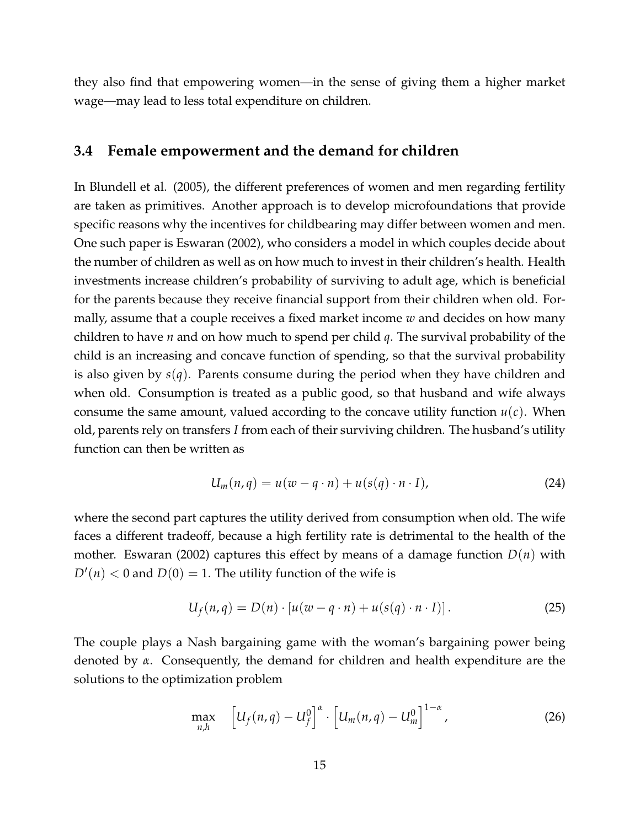they also find that empowering women—in the sense of giving them a higher market wage—may lead to less total expenditure on children.

#### **3.4 Female empowerment and the demand for children**

In Blundell et al. (2005), the different preferences of women and men regarding fertility are taken as primitives. Another approach is to develop microfoundations that provide specific reasons why the incentives for childbearing may differ between women and men. One such paper is Eswaran (2002), who considers a model in which couples decide about the number of children as well as on how much to invest in their children's health. Health investments increase children's probability of surviving to adult age, which is beneficial for the parents because they receive financial support from their children when old. Formally, assume that a couple receives a fixed market income *w* and decides on how many children to have *n* and on how much to spend per child *q*. The survival probability of the child is an increasing and concave function of spending, so that the survival probability is also given by *s*(*q*). Parents consume during the period when they have children and when old. Consumption is treated as a public good, so that husband and wife always consume the same amount, valued according to the concave utility function  $u(c)$ . When old, parents rely on transfers *I* from each of their surviving children. The husband's utility function can then be written as

$$
U_m(n,q) = u(w - q \cdot n) + u(s(q) \cdot n \cdot I), \qquad (24)
$$

where the second part captures the utility derived from consumption when old. The wife faces a different tradeoff, because a high fertility rate is detrimental to the health of the mother. Eswaran (2002) captures this effect by means of a damage function *D*(*n*) with  $D'(n) < 0$  and  $D(0) = 1$ . The utility function of the wife is

$$
U_f(n,q) = D(n) \cdot [u(w - q \cdot n) + u(s(q) \cdot n \cdot I)]. \tag{25}
$$

The couple plays a Nash bargaining game with the woman's bargaining power being denoted by *α*. Consequently, the demand for children and health expenditure are the solutions to the optimization problem

$$
\max_{n,h} \quad \left[ U_f(n,q) - U_f^0 \right]^{\alpha} \cdot \left[ U_m(n,q) - U_m^0 \right]^{1-\alpha}, \tag{26}
$$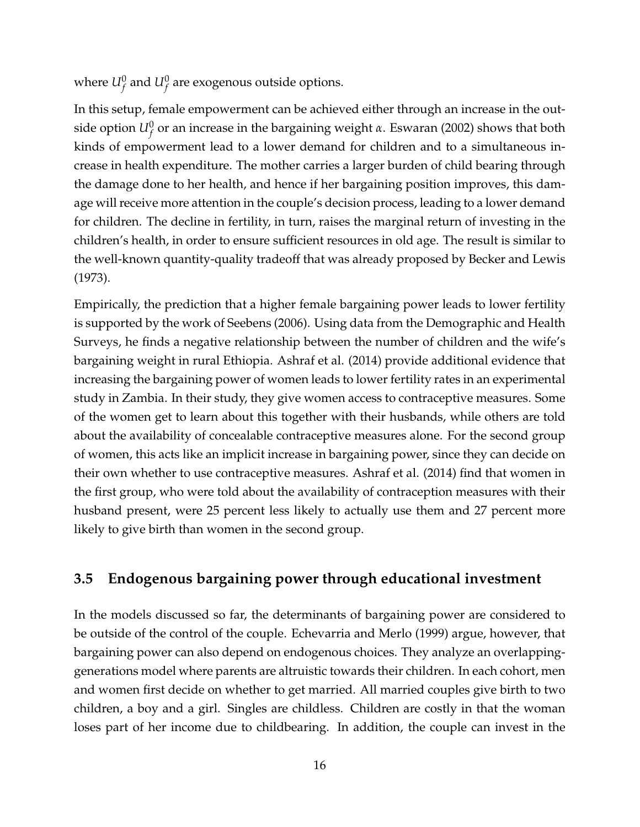where  $U_f^0$  and  $U_f^0$  are exogenous outside options.

In this setup, female empowerment can be achieved either through an increase in the outside option  $U_f^0$  or an increase in the bargaining weight *α*. Eswaran (2002) shows that both kinds of empowerment lead to a lower demand for children and to a simultaneous increase in health expenditure. The mother carries a larger burden of child bearing through the damage done to her health, and hence if her bargaining position improves, this damage will receive more attention in the couple's decision process, leading to a lower demand for children. The decline in fertility, in turn, raises the marginal return of investing in the children's health, in order to ensure sufficient resources in old age. The result is similar to the well-known quantity-quality tradeoff that was already proposed by Becker and Lewis (1973).

Empirically, the prediction that a higher female bargaining power leads to lower fertility is supported by the work of Seebens (2006). Using data from the Demographic and Health Surveys, he finds a negative relationship between the number of children and the wife's bargaining weight in rural Ethiopia. Ashraf et al. (2014) provide additional evidence that increasing the bargaining power of women leads to lower fertility rates in an experimental study in Zambia. In their study, they give women access to contraceptive measures. Some of the women get to learn about this together with their husbands, while others are told about the availability of concealable contraceptive measures alone. For the second group of women, this acts like an implicit increase in bargaining power, since they can decide on their own whether to use contraceptive measures. Ashraf et al. (2014) find that women in the first group, who were told about the availability of contraception measures with their husband present, were 25 percent less likely to actually use them and 27 percent more likely to give birth than women in the second group.

### **3.5 Endogenous bargaining power through educational investment**

In the models discussed so far, the determinants of bargaining power are considered to be outside of the control of the couple. Echevarria and Merlo (1999) argue, however, that bargaining power can also depend on endogenous choices. They analyze an overlappinggenerations model where parents are altruistic towards their children. In each cohort, men and women first decide on whether to get married. All married couples give birth to two children, a boy and a girl. Singles are childless. Children are costly in that the woman loses part of her income due to childbearing. In addition, the couple can invest in the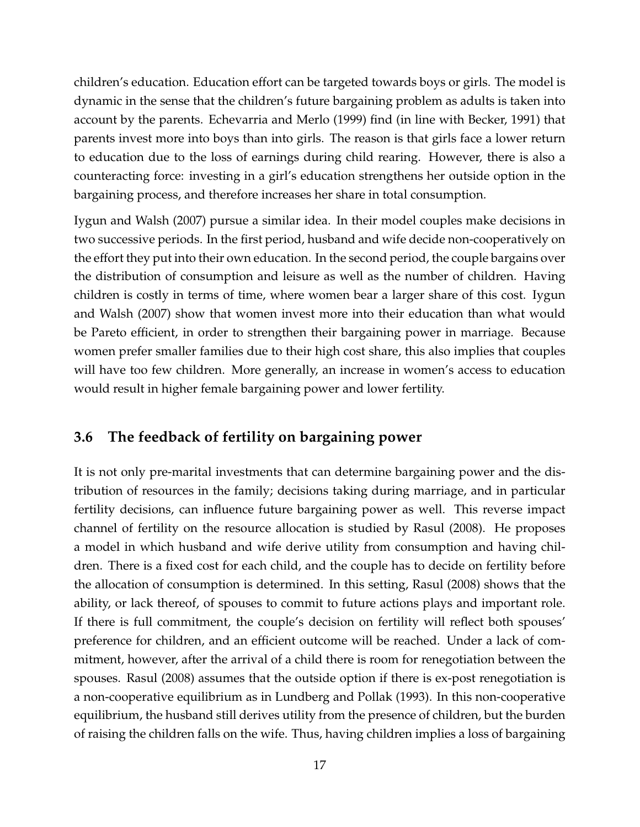children's education. Education effort can be targeted towards boys or girls. The model is dynamic in the sense that the children's future bargaining problem as adults is taken into account by the parents. Echevarria and Merlo (1999) find (in line with Becker, 1991) that parents invest more into boys than into girls. The reason is that girls face a lower return to education due to the loss of earnings during child rearing. However, there is also a counteracting force: investing in a girl's education strengthens her outside option in the bargaining process, and therefore increases her share in total consumption.

Iygun and Walsh (2007) pursue a similar idea. In their model couples make decisions in two successive periods. In the first period, husband and wife decide non-cooperatively on the effort they put into their own education. In the second period, the couple bargains over the distribution of consumption and leisure as well as the number of children. Having children is costly in terms of time, where women bear a larger share of this cost. Iygun and Walsh (2007) show that women invest more into their education than what would be Pareto efficient, in order to strengthen their bargaining power in marriage. Because women prefer smaller families due to their high cost share, this also implies that couples will have too few children. More generally, an increase in women's access to education would result in higher female bargaining power and lower fertility.

### **3.6 The feedback of fertility on bargaining power**

It is not only pre-marital investments that can determine bargaining power and the distribution of resources in the family; decisions taking during marriage, and in particular fertility decisions, can influence future bargaining power as well. This reverse impact channel of fertility on the resource allocation is studied by Rasul (2008). He proposes a model in which husband and wife derive utility from consumption and having children. There is a fixed cost for each child, and the couple has to decide on fertility before the allocation of consumption is determined. In this setting, Rasul (2008) shows that the ability, or lack thereof, of spouses to commit to future actions plays and important role. If there is full commitment, the couple's decision on fertility will reflect both spouses' preference for children, and an efficient outcome will be reached. Under a lack of commitment, however, after the arrival of a child there is room for renegotiation between the spouses. Rasul (2008) assumes that the outside option if there is ex-post renegotiation is a non-cooperative equilibrium as in Lundberg and Pollak (1993). In this non-cooperative equilibrium, the husband still derives utility from the presence of children, but the burden of raising the children falls on the wife. Thus, having children implies a loss of bargaining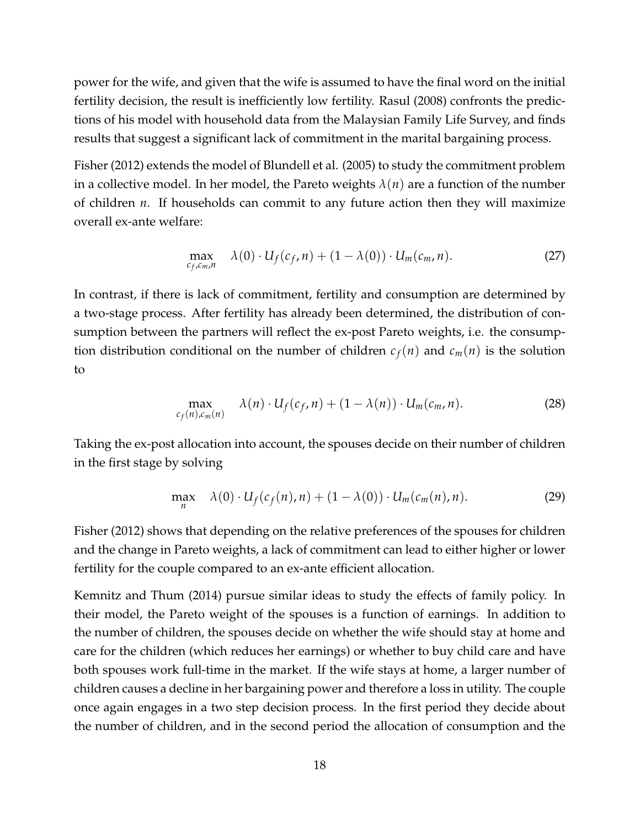power for the wife, and given that the wife is assumed to have the final word on the initial fertility decision, the result is inefficiently low fertility. Rasul (2008) confronts the predictions of his model with household data from the Malaysian Family Life Survey, and finds results that suggest a significant lack of commitment in the marital bargaining process.

Fisher (2012) extends the model of Blundell et al. (2005) to study the commitment problem in a collective model. In her model, the Pareto weights  $\lambda(n)$  are a function of the number of children *n*. If households can commit to any future action then they will maximize overall ex-ante welfare:

$$
\max_{c_f, c_m, n} \lambda(0) \cdot U_f(c_f, n) + (1 - \lambda(0)) \cdot U_m(c_m, n). \tag{27}
$$

In contrast, if there is lack of commitment, fertility and consumption are determined by a two-stage process. After fertility has already been determined, the distribution of consumption between the partners will reflect the ex-post Pareto weights, i.e. the consumption distribution conditional on the number of children  $c_f(n)$  and  $c_m(n)$  is the solution to

$$
\max_{c_f(n), c_m(n)} \lambda(n) \cdot U_f(c_f, n) + (1 - \lambda(n)) \cdot U_m(c_m, n). \tag{28}
$$

Taking the ex-post allocation into account, the spouses decide on their number of children in the first stage by solving

$$
\max_{n} \quad \lambda(0) \cdot U_f(c_f(n), n) + (1 - \lambda(0)) \cdot U_m(c_m(n), n). \tag{29}
$$

Fisher (2012) shows that depending on the relative preferences of the spouses for children and the change in Pareto weights, a lack of commitment can lead to either higher or lower fertility for the couple compared to an ex-ante efficient allocation.

Kemnitz and Thum (2014) pursue similar ideas to study the effects of family policy. In their model, the Pareto weight of the spouses is a function of earnings. In addition to the number of children, the spouses decide on whether the wife should stay at home and care for the children (which reduces her earnings) or whether to buy child care and have both spouses work full-time in the market. If the wife stays at home, a larger number of children causes a decline in her bargaining power and therefore a loss in utility. The couple once again engages in a two step decision process. In the first period they decide about the number of children, and in the second period the allocation of consumption and the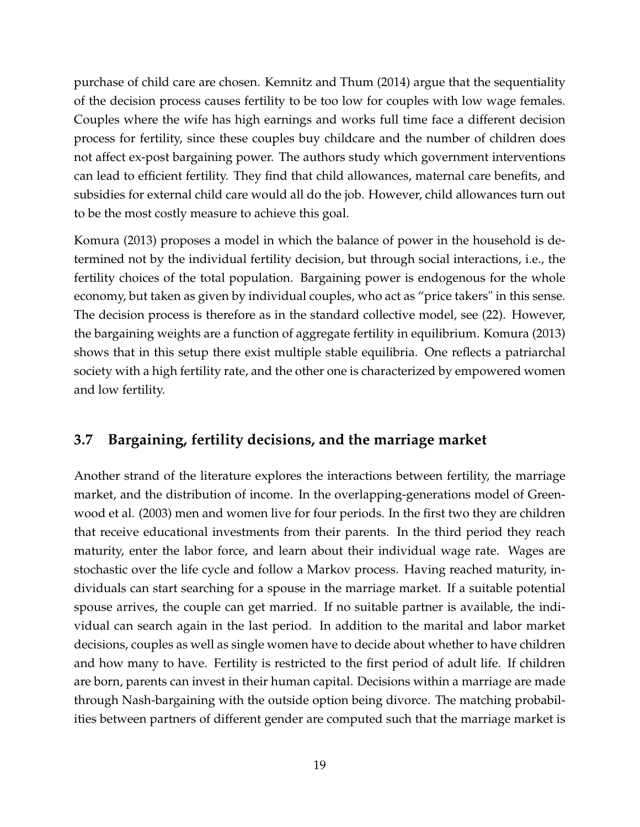purchase of child care are chosen. Kemnitz and Thum (2014) argue that the sequentiality of the decision process causes fertility to be too low for couples with low wage females. Couples where the wife has high earnings and works full time face a different decision process for fertility, since these couples buy childcare and the number of children does not affect ex-post bargaining power. The authors study which government interventions can lead to efficient fertility. They find that child allowances, maternal care benefits, and subsidies for external child care would all do the job. However, child allowances turn out to be the most costly measure to achieve this goal.

Komura (2013) proposes a model in which the balance of power in the household is determined not by the individual fertility decision, but through social interactions, i.e., the fertility choices of the total population. Bargaining power is endogenous for the whole economy, but taken as given by individual couples, who act as "price takers" in this sense. The decision process is therefore as in the standard collective model, see (22). However, the bargaining weights are a function of aggregate fertility in equilibrium. Komura (2013) shows that in this setup there exist multiple stable equilibria. One reflects a patriarchal society with a high fertility rate, and the other one is characterized by empowered women and low fertility.

### **3.7 Bargaining, fertility decisions, and the marriage market**

Another strand of the literature explores the interactions between fertility, the marriage market, and the distribution of income. In the overlapping-generations model of Greenwood et al. (2003) men and women live for four periods. In the first two they are children that receive educational investments from their parents. In the third period they reach maturity, enter the labor force, and learn about their individual wage rate. Wages are stochastic over the life cycle and follow a Markov process. Having reached maturity, individuals can start searching for a spouse in the marriage market. If a suitable potential spouse arrives, the couple can get married. If no suitable partner is available, the individual can search again in the last period. In addition to the marital and labor market decisions, couples as well as single women have to decide about whether to have children and how many to have. Fertility is restricted to the first period of adult life. If children are born, parents can invest in their human capital. Decisions within a marriage are made through Nash-bargaining with the outside option being divorce. The matching probabilities between partners of different gender are computed such that the marriage market is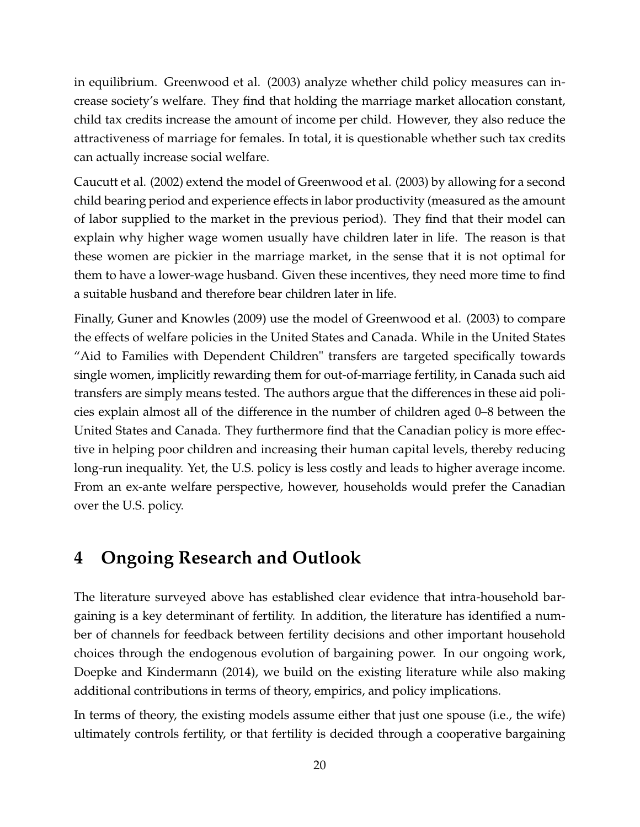in equilibrium. Greenwood et al. (2003) analyze whether child policy measures can increase society's welfare. They find that holding the marriage market allocation constant, child tax credits increase the amount of income per child. However, they also reduce the attractiveness of marriage for females. In total, it is questionable whether such tax credits can actually increase social welfare.

Caucutt et al. (2002) extend the model of Greenwood et al. (2003) by allowing for a second child bearing period and experience effects in labor productivity (measured as the amount of labor supplied to the market in the previous period). They find that their model can explain why higher wage women usually have children later in life. The reason is that these women are pickier in the marriage market, in the sense that it is not optimal for them to have a lower-wage husband. Given these incentives, they need more time to find a suitable husband and therefore bear children later in life.

Finally, Guner and Knowles (2009) use the model of Greenwood et al. (2003) to compare the effects of welfare policies in the United States and Canada. While in the United States "Aid to Families with Dependent Children" transfers are targeted specifically towards single women, implicitly rewarding them for out-of-marriage fertility, in Canada such aid transfers are simply means tested. The authors argue that the differences in these aid policies explain almost all of the difference in the number of children aged 0–8 between the United States and Canada. They furthermore find that the Canadian policy is more effective in helping poor children and increasing their human capital levels, thereby reducing long-run inequality. Yet, the U.S. policy is less costly and leads to higher average income. From an ex-ante welfare perspective, however, households would prefer the Canadian over the U.S. policy.

# **4 Ongoing Research and Outlook**

The literature surveyed above has established clear evidence that intra-household bargaining is a key determinant of fertility. In addition, the literature has identified a number of channels for feedback between fertility decisions and other important household choices through the endogenous evolution of bargaining power. In our ongoing work, Doepke and Kindermann (2014), we build on the existing literature while also making additional contributions in terms of theory, empirics, and policy implications.

In terms of theory, the existing models assume either that just one spouse (i.e., the wife) ultimately controls fertility, or that fertility is decided through a cooperative bargaining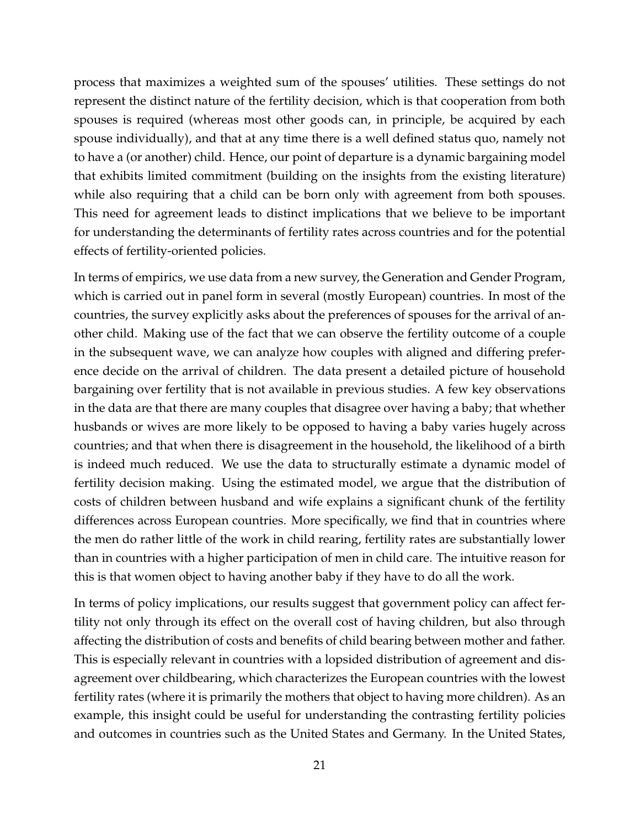process that maximizes a weighted sum of the spouses' utilities. These settings do not represent the distinct nature of the fertility decision, which is that cooperation from both spouses is required (whereas most other goods can, in principle, be acquired by each spouse individually), and that at any time there is a well defined status quo, namely not to have a (or another) child. Hence, our point of departure is a dynamic bargaining model that exhibits limited commitment (building on the insights from the existing literature) while also requiring that a child can be born only with agreement from both spouses. This need for agreement leads to distinct implications that we believe to be important for understanding the determinants of fertility rates across countries and for the potential effects of fertility-oriented policies.

In terms of empirics, we use data from a new survey, the Generation and Gender Program, which is carried out in panel form in several (mostly European) countries. In most of the countries, the survey explicitly asks about the preferences of spouses for the arrival of another child. Making use of the fact that we can observe the fertility outcome of a couple in the subsequent wave, we can analyze how couples with aligned and differing preference decide on the arrival of children. The data present a detailed picture of household bargaining over fertility that is not available in previous studies. A few key observations in the data are that there are many couples that disagree over having a baby; that whether husbands or wives are more likely to be opposed to having a baby varies hugely across countries; and that when there is disagreement in the household, the likelihood of a birth is indeed much reduced. We use the data to structurally estimate a dynamic model of fertility decision making. Using the estimated model, we argue that the distribution of costs of children between husband and wife explains a significant chunk of the fertility differences across European countries. More specifically, we find that in countries where the men do rather little of the work in child rearing, fertility rates are substantially lower than in countries with a higher participation of men in child care. The intuitive reason for this is that women object to having another baby if they have to do all the work.

In terms of policy implications, our results suggest that government policy can affect fertility not only through its effect on the overall cost of having children, but also through affecting the distribution of costs and benefits of child bearing between mother and father. This is especially relevant in countries with a lopsided distribution of agreement and disagreement over childbearing, which characterizes the European countries with the lowest fertility rates (where it is primarily the mothers that object to having more children). As an example, this insight could be useful for understanding the contrasting fertility policies and outcomes in countries such as the United States and Germany. In the United States,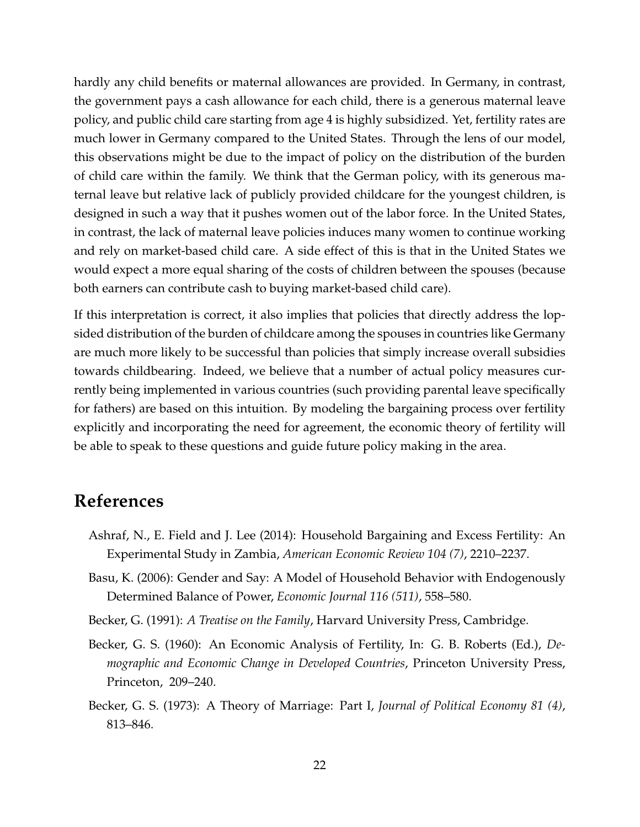hardly any child benefits or maternal allowances are provided. In Germany, in contrast, the government pays a cash allowance for each child, there is a generous maternal leave policy, and public child care starting from age 4 is highly subsidized. Yet, fertility rates are much lower in Germany compared to the United States. Through the lens of our model, this observations might be due to the impact of policy on the distribution of the burden of child care within the family. We think that the German policy, with its generous maternal leave but relative lack of publicly provided childcare for the youngest children, is designed in such a way that it pushes women out of the labor force. In the United States, in contrast, the lack of maternal leave policies induces many women to continue working and rely on market-based child care. A side effect of this is that in the United States we would expect a more equal sharing of the costs of children between the spouses (because both earners can contribute cash to buying market-based child care).

If this interpretation is correct, it also implies that policies that directly address the lopsided distribution of the burden of childcare among the spouses in countries like Germany are much more likely to be successful than policies that simply increase overall subsidies towards childbearing. Indeed, we believe that a number of actual policy measures currently being implemented in various countries (such providing parental leave specifically for fathers) are based on this intuition. By modeling the bargaining process over fertility explicitly and incorporating the need for agreement, the economic theory of fertility will be able to speak to these questions and guide future policy making in the area.

### **References**

- Ashraf, N., E. Field and J. Lee (2014): Household Bargaining and Excess Fertility: An Experimental Study in Zambia, *American Economic Review 104 (7)*, 2210–2237.
- Basu, K. (2006): Gender and Say: A Model of Household Behavior with Endogenously Determined Balance of Power, *Economic Journal 116 (511)*, 558–580.
- Becker, G. (1991): *A Treatise on the Family*, Harvard University Press, Cambridge.
- Becker, G. S. (1960): An Economic Analysis of Fertility, In: G. B. Roberts (Ed.), *Demographic and Economic Change in Developed Countries*, Princeton University Press, Princeton, 209–240.
- Becker, G. S. (1973): A Theory of Marriage: Part I, *Journal of Political Economy 81 (4)*, 813–846.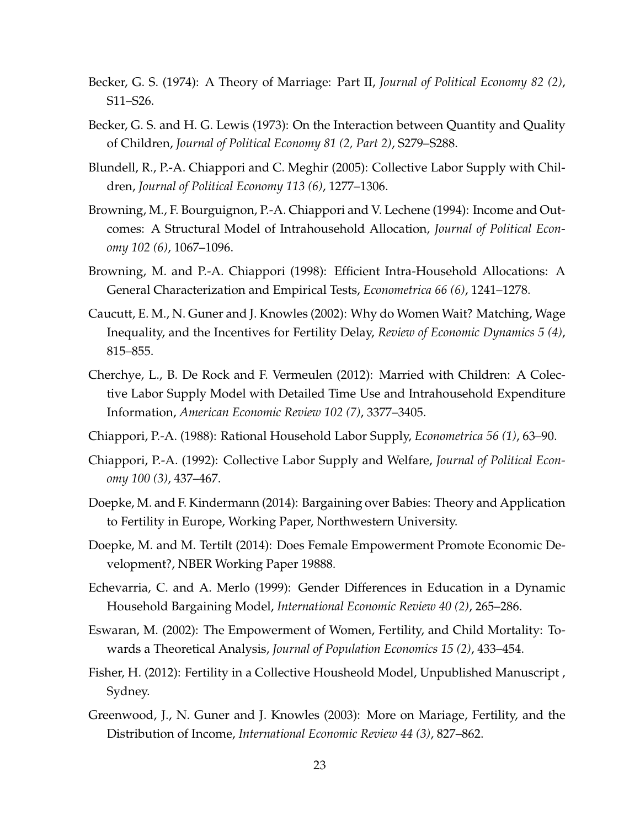- Becker, G. S. (1974): A Theory of Marriage: Part II, *Journal of Political Economy 82 (2)*, S11–S26.
- Becker, G. S. and H. G. Lewis (1973): On the Interaction between Quantity and Quality of Children, *Journal of Political Economy 81 (2, Part 2)*, S279–S288.
- Blundell, R., P.-A. Chiappori and C. Meghir (2005): Collective Labor Supply with Children, *Journal of Political Economy 113 (6)*, 1277–1306.
- Browning, M., F. Bourguignon, P.-A. Chiappori and V. Lechene (1994): Income and Outcomes: A Structural Model of Intrahousehold Allocation, *Journal of Political Economy 102 (6)*, 1067–1096.
- Browning, M. and P.-A. Chiappori (1998): Efficient Intra-Household Allocations: A General Characterization and Empirical Tests, *Econometrica 66 (6)*, 1241–1278.
- Caucutt, E. M., N. Guner and J. Knowles (2002): Why do Women Wait? Matching, Wage Inequality, and the Incentives for Fertility Delay, *Review of Economic Dynamics 5 (4)*, 815–855.
- Cherchye, L., B. De Rock and F. Vermeulen (2012): Married with Children: A Colective Labor Supply Model with Detailed Time Use and Intrahousehold Expenditure Information, *American Economic Review 102 (7)*, 3377–3405.
- Chiappori, P.-A. (1988): Rational Household Labor Supply, *Econometrica 56 (1)*, 63–90.
- Chiappori, P.-A. (1992): Collective Labor Supply and Welfare, *Journal of Political Economy 100 (3)*, 437–467.
- Doepke, M. and F. Kindermann (2014): Bargaining over Babies: Theory and Application to Fertility in Europe, Working Paper, Northwestern University.
- Doepke, M. and M. Tertilt (2014): Does Female Empowerment Promote Economic Development?, NBER Working Paper 19888.
- Echevarria, C. and A. Merlo (1999): Gender Differences in Education in a Dynamic Household Bargaining Model, *International Economic Review 40 (2)*, 265–286.
- Eswaran, M. (2002): The Empowerment of Women, Fertility, and Child Mortality: Towards a Theoretical Analysis, *Journal of Population Economics 15 (2)*, 433–454.
- Fisher, H. (2012): Fertility in a Collective Housheold Model, Unpublished Manuscript , Sydney.
- Greenwood, J., N. Guner and J. Knowles (2003): More on Mariage, Fertility, and the Distribution of Income, *International Economic Review 44 (3)*, 827–862.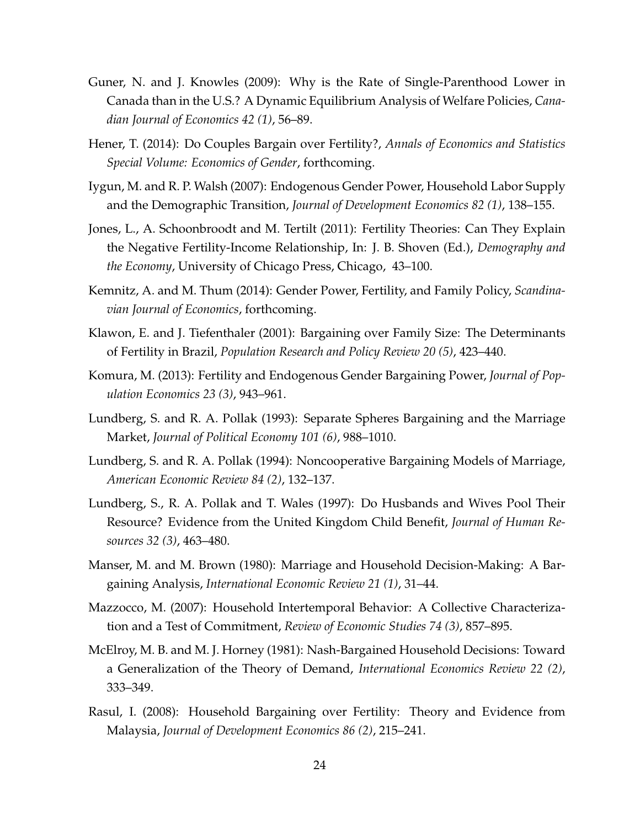- Guner, N. and J. Knowles (2009): Why is the Rate of Single-Parenthood Lower in Canada than in the U.S.? A Dynamic Equilibrium Analysis of Welfare Policies, *Canadian Journal of Economics 42 (1)*, 56–89.
- Hener, T. (2014): Do Couples Bargain over Fertility?, *Annals of Economics and Statistics Special Volume: Economics of Gender*, forthcoming.
- Iygun, M. and R. P. Walsh (2007): Endogenous Gender Power, Household Labor Supply and the Demographic Transition, *Journal of Development Economics 82 (1)*, 138–155.
- Jones, L., A. Schoonbroodt and M. Tertilt (2011): Fertility Theories: Can They Explain the Negative Fertility-Income Relationship, In: J. B. Shoven (Ed.), *Demography and the Economy*, University of Chicago Press, Chicago, 43–100.
- Kemnitz, A. and M. Thum (2014): Gender Power, Fertility, and Family Policy, *Scandinavian Journal of Economics*, forthcoming.
- Klawon, E. and J. Tiefenthaler (2001): Bargaining over Family Size: The Determinants of Fertility in Brazil, *Population Research and Policy Review 20 (5)*, 423–440.
- Komura, M. (2013): Fertility and Endogenous Gender Bargaining Power, *Journal of Population Economics 23 (3)*, 943–961.
- Lundberg, S. and R. A. Pollak (1993): Separate Spheres Bargaining and the Marriage Market, *Journal of Political Economy 101 (6)*, 988–1010.
- Lundberg, S. and R. A. Pollak (1994): Noncooperative Bargaining Models of Marriage, *American Economic Review 84 (2)*, 132–137.
- Lundberg, S., R. A. Pollak and T. Wales (1997): Do Husbands and Wives Pool Their Resource? Evidence from the United Kingdom Child Benefit, *Journal of Human Resources 32 (3)*, 463–480.
- Manser, M. and M. Brown (1980): Marriage and Household Decision-Making: A Bargaining Analysis, *International Economic Review 21 (1)*, 31–44.
- Mazzocco, M. (2007): Household Intertemporal Behavior: A Collective Characterization and a Test of Commitment, *Review of Economic Studies 74 (3)*, 857–895.
- McElroy, M. B. and M. J. Horney (1981): Nash-Bargained Household Decisions: Toward a Generalization of the Theory of Demand, *International Economics Review 22 (2)*, 333–349.
- Rasul, I. (2008): Household Bargaining over Fertility: Theory and Evidence from Malaysia, *Journal of Development Economics 86 (2)*, 215–241.